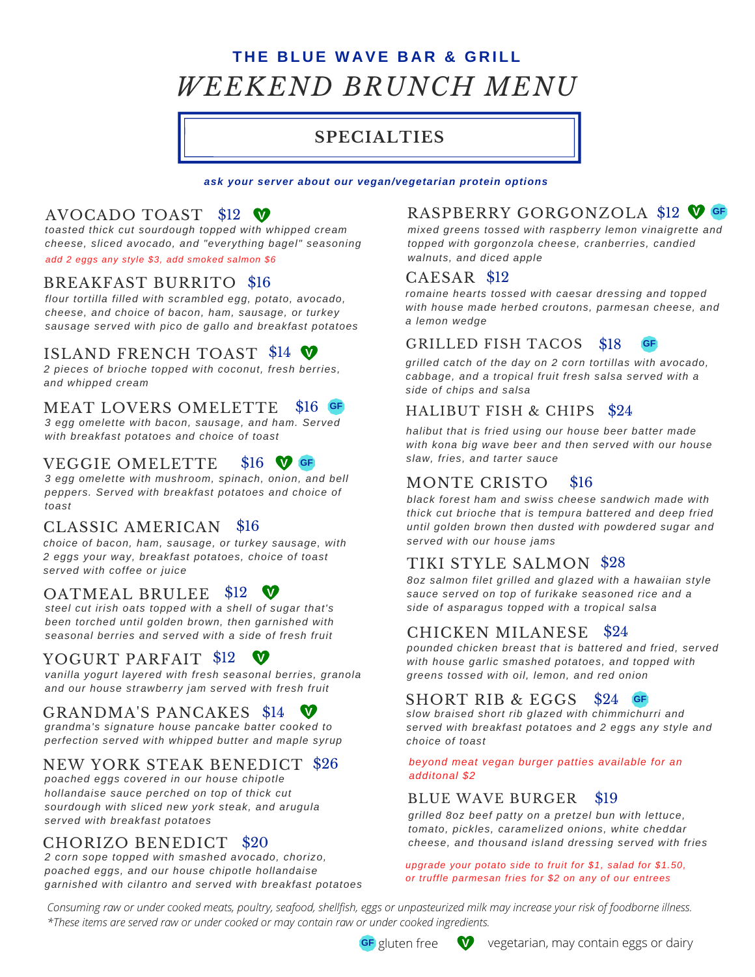# **T H E B L U E W A VE B A R & G R I L L** *WEEKEND BRUNCH MENU*

# **SPECIALTIES**

*ask your server about our vegan/vegetarian protein options*

# AVOCADO TOAST \$12 **V**

*toasted thick cut sourdough topped with whipped cream cheese, sliced avocado, and "everything bagel" seasoning add 2 eggs any style \$3, add smoked salmon \$6*

## BREAKFAST BURRITO \$16

*flour tortilla filled with scrambled egg, potato, avocado, cheese, and choice of bacon, ham, sausage, or turkey sausage served with pico de gallo and breakfast potatoes*

# ISLAND FRENCH TOAST \$14  $\blacktriangledown$

*2 pieces of brioche topped with coconut, fresh berries, and whipped cream*

#### MEAT LOVERS OMELETTE \$16 **GF**

*3 egg omelette with bacon, sausage, and ham. Served with breakfast potatoes and choice of toast*

#### VEGGIE OMELETTE \$16 **V GF**

*3 egg omelette with mushroom, spinach, onion, and bell peppers. Served with breakfast potatoes and choice of toast*

### CLASSIC AMERICAN \$16

*choice of bacon, ham, sausage, or turkey sausage, with 2 eggs your way, breakfast potatoes, choice of toast served with coffee or juice*

# OATMEAL BRULEE \$12

*steel cut irish oats topped with a shell of sugar that's been torched until golden brown, then garnished with seasonal berries and served with a side of fresh fruit*

### YOGURT PARFAIT \$12  $\blacktriangledown$

*vanilla yogurt layered with fresh seasonal berries, granola and our house strawberry jam served with fresh fruit*

# GRANDMA'S PANCAKES \$14

*grandma's signature house pancake batter cooked to perfection served with whipped butter and maple syrup*

### NEW YORK STEAK BENEDICT \$26

*poached eggs covered in our house chipotle hollandaise sauce perched on top of thick cut sourdough with sliced new york steak, and arugula served with breakfast potatoes*

### CHORIZO BENEDICT \$20

*2 corn sope topped with smashed avocado, chorizo, poached eggs, and our house chipotle hollandaise garnished with cilantro and served with breakfast potatoes*

## RASPBERRY GORGONZOLA \$12 **V GF**

*mixed greens tossed with raspberry lemon vinaigrette and topped with gorgonzola cheese, cranberries, candied walnuts, and diced apple*

### CAESAR \$12

*romaine hearts tossed with caesar dressing and topped with house made herbed croutons, parmesan cheese, and a lemon wedge*

#### **GRILLED FISH TACOS** \$18

*grilled catch of the day on 2 corn tortillas with avocado, cabbage, and a tropical fruit fresh salsa served with a side of chips and salsa*

### HALIBUT FISH & CHIPS \$24

*halibut that is fried using our house beer batter made with kona big wave beer and then served with our house slaw, fries, and tarter sauce*

#### MONTE CRISTO \$16

*black forest ham and swiss cheese sandwich made with thick cut brioche that is tempura battered and deep fried until golden brown then dusted with powdered sugar and served with our house jams*

### TIKI STYLE SALMON \$28

*8oz salmon filet grilled and glazed with a hawaiian style sauce served on top of furikake seasoned rice and a side of asparagus topped with a tropical salsa*

#### CHICKEN MILANESE \$24

*pounded chicken breast that is battered and fried, served with house garlic smashed potatoes, and topped with greens tossed with oil, lemon, and red onion*

#### SHORT RIB & EGGS \$24 **GF**

*slow braised short rib glazed with chimmichurri and served with breakfast potatoes and 2 eggs any style and choice of toast*

*beyond meat vegan burger patties available for an additonal \$2*

#### BLUE WAVE BURGER \$19

*grilled 8oz beef patty on a pretzel bun with lettuce, tomato, pickles, caramelized onions, white cheddar cheese, and thousand island dressing served with fries*

*upgrade your potato side to fruit for \$1, salad for \$1.50, or truffle parmesan fries for \$2 on any of our entrees*

*Consuming raw or under cooked meats, poultry, seafood, shellfish, eggs or unpasteurized milk may increase your risk of foodborne illness. \*These items are served raw or under cooked or may contain raw or under cooked ingredients.*

**GF** gluten free

vegetarian, may contain eggs or dairy